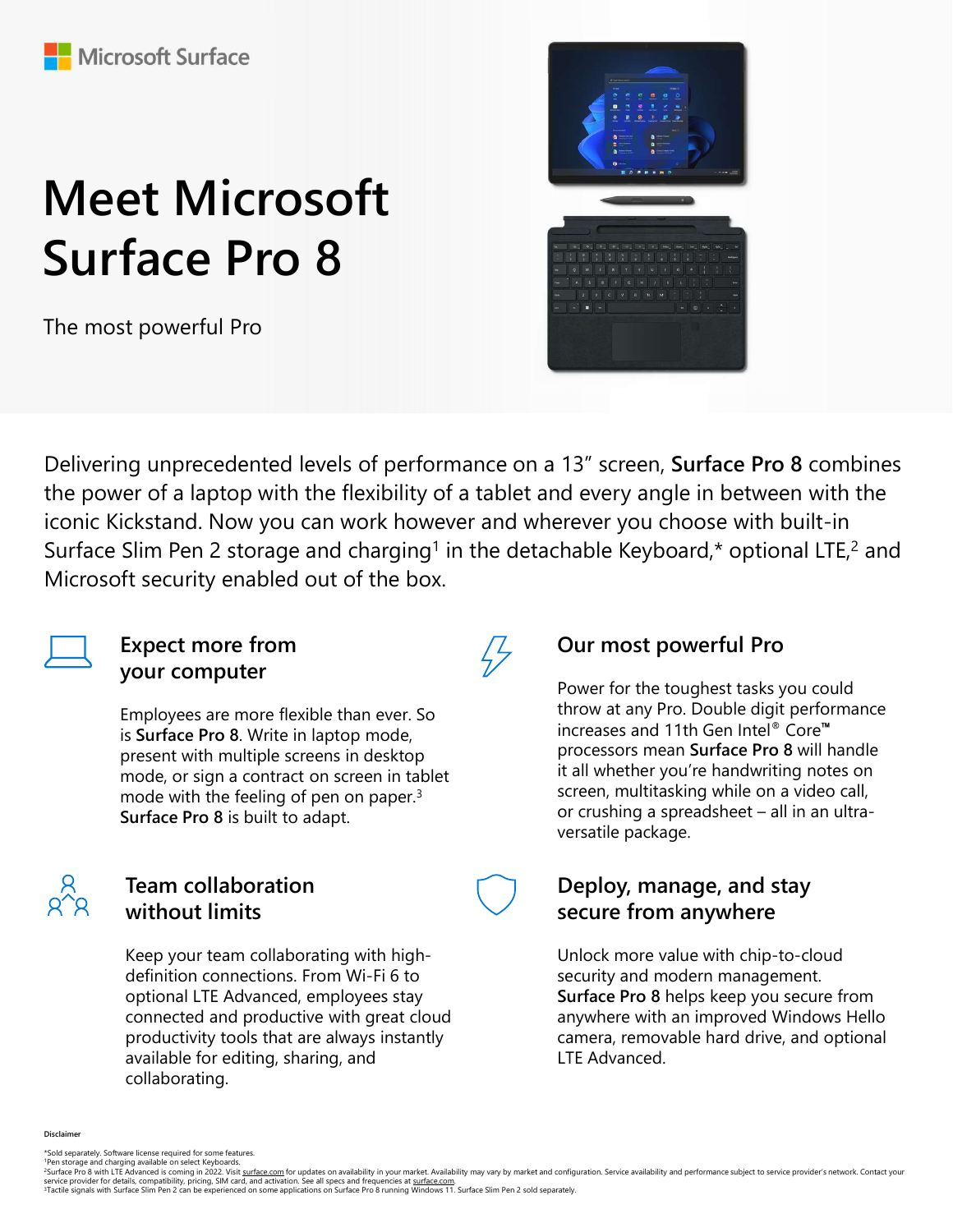# Meet Microsoft Surface Pro 8

The most powerful Pro



Delivering unprecedented levels of performance on a 13" screen, Surface Pro 8 combines the power of a laptop with the flexibility of a tablet and every angle in between with the iconic Kickstand. Now you can work however and wherever you choose with built-in Surface Slim Pen 2 storage and charging<sup>1</sup> in the detachable Keyboard,\* optional LTE,<sup>2</sup> and Microsoft security enabled out of the box.

 $\sqrt{7}$ 



#### Expect more from your computer

Employees are more flexible than ever. So is Surface Pro 8. Write in laptop mode, present with multiple screens in desktop mode, or sign a contract on screen in tablet mode with the feeling of pen on paper.<sup>3</sup><br>Surface Pro 8 is built to adapt solution of crushing a spreadsheet – all in an ultra-Surface Pro 8 is built to adapt.



### Team collaboration without limits

mode, or sign a contract on screen in tablet<br>
mode, or sign a contract on screen in tablet<br>
mode with the feeling of pen on paper.<sup>3</sup><br>
screen, multitasking while on a video call,<br>
surface Pro 8 is built to adapt.<br> **Feam co** service provider and contract on screen in tablet<br>
service provider in the service provider in the service provider in the service provider and in an ultra-<br>
versatile package.<br> **From collaboration**<br> **Examced and productio** The mode with the feeling of pen on paper.<sup>3</sup><br>
screen, multifasking while on a video call,<br>
Surface Pro 8 is built to adapt.<br>
Team collaboration<br>
without limits<br>
Reep your team collaboration surface is to security and **Sec** Keep your team collaborating with highdefinition connections. From Wi-Fi 6 to optional LTE Advanced, employees stay connected and productive with great cloud productivity tools that are always instantly available for editing, sharing, and collaborating.

## Our most powerful Pro

Power for the toughest tasks you could throw at any Pro. Double digit performance increases and 11th Gen Intel® Core™ processors mean Surface Pro 8 will handle it all whether you're handwriting notes on screen, multitasking while on a video call, 13" screen, **Surface Pro 8** combines<br>
of every angle in between with the<br>
prever you choose with built-in<br>
thable Keyboard,\* optional LTE,<sup>2</sup> and<br> **Our most powerful Pro**<br>
Power for the toughest tasks you could<br>
throw at versatile package.

## Deploy, manage, and stay secure from anywhere

Unlock more value with chip-to-cloud security and modern management. Surface Pro 8 helps keep you secure from anywhere with an improved Windows Hello camera, removable hard drive, and optional LTE Advanced.

**Disclaimer** 

<sup>\*</sup>Sold separately. Software license required for some features.<br>"Pen storage and charging available on select Keyboards.<br><sup>2</sup>Surface Pro 8 with LTE Advanced is coming in 2022. Visit surface com for undates on availab